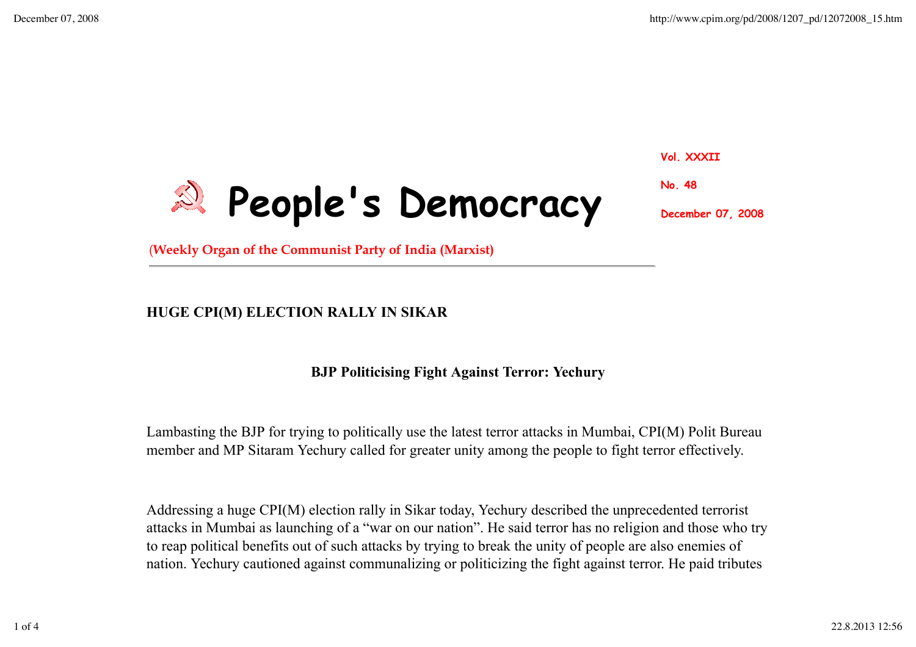

**Vol. XXXII**

**No. 48**

**December 07, 2008**

(**Weekly Organ of the Communist Party of India (Marxist)**

## **HUGE CPI(M) ELECTION RALLY IN SIKAR**

## **BJP Politicising Fight Against Terror: Yechury**

Lambasting the BJP for trying to politically use the latest terror attacks in Mumbai, CPI(M) Polit Bureau member and MP Sitaram Yechury called for greater unity among the people to fight terror effectively.

Addressing a huge CPI(M) election rally in Sikar today, Yechury described the unprecedented terrorist attacks in Mumbai as launching of a "war on our nation". He said terror has no religion and those who try to reap political benefits out of such attacks by trying to break the unity of people are also enemies of nation. Yechury cautioned against communalizing or politicizing the fight against terror. He paid tributes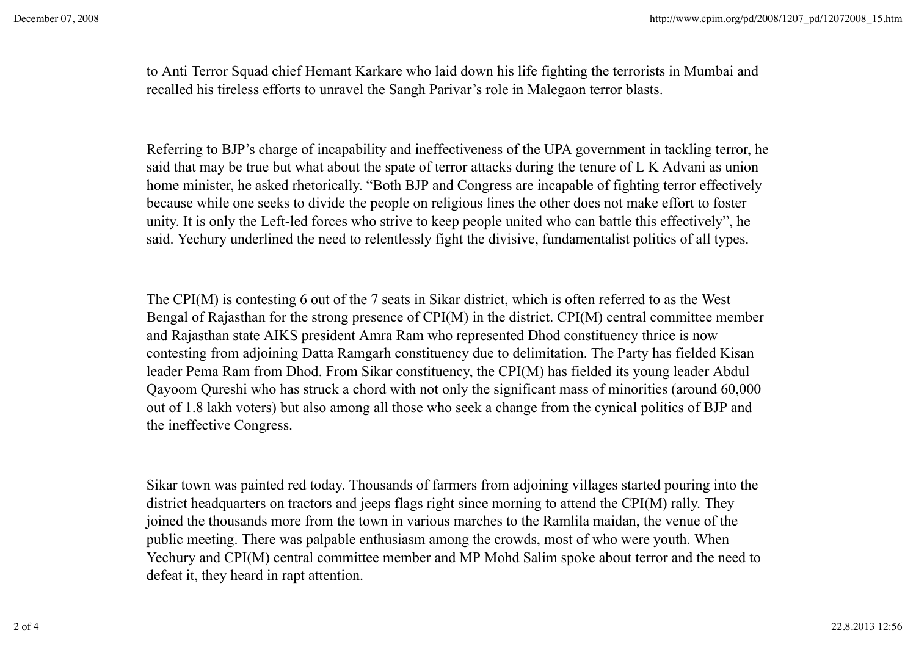to Anti Terror Squad chief Hemant Karkare who laid down his life fighting the terrorists in Mumbai and recalled his tireless efforts to unravel the Sangh Parivar's role in Malegaon terror blasts.

Referring to BJP's charge of incapability and ineffectiveness of the UPA government in tackling terror, he said that may be true but what about the spate of terror attacks during the tenure of L K Advani as union home minister, he asked rhetorically. "Both BJP and Congress are incapable of fighting terror effectively because while one seeks to divide the people on religious lines the other does not make effort to foster unity. It is only the Left-led forces who strive to keep people united who can battle this effectively", he said. Yechury underlined the need to relentlessly fight the divisive, fundamentalist politics of all types.

The CPI(M) is contesting 6 out of the 7 seats in Sikar district, which is often referred to as the West Bengal of Rajasthan for the strong presence of CPI(M) in the district. CPI(M) central committee member and Rajasthan state AIKS president Amra Ram who represented Dhod constituency thrice is now contesting from adjoining Datta Ramgarh constituency due to delimitation. The Party has fielded Kisan leader Pema Ram from Dhod. From Sikar constituency, the CPI(M) has fielded its young leader Abdul Qayoom Qureshi who has struck a chord with not only the significant mass of minorities (around 60,000 out of 1.8 lakh voters) but also among all those who seek a change from the cynical politics of BJP and the ineffective Congress.

Sikar town was painted red today. Thousands of farmers from adjoining villages started pouring into the district headquarters on tractors and jeeps flags right since morning to attend the CPI(M) rally. They joined the thousands more from the town in various marches to the Ramlila maidan, the venue of the public meeting. There was palpable enthusiasm among the crowds, most of who were youth. When Yechury and CPI(M) central committee member and MP Mohd Salim spoke about terror and the need to defeat it, they heard in rapt attention.